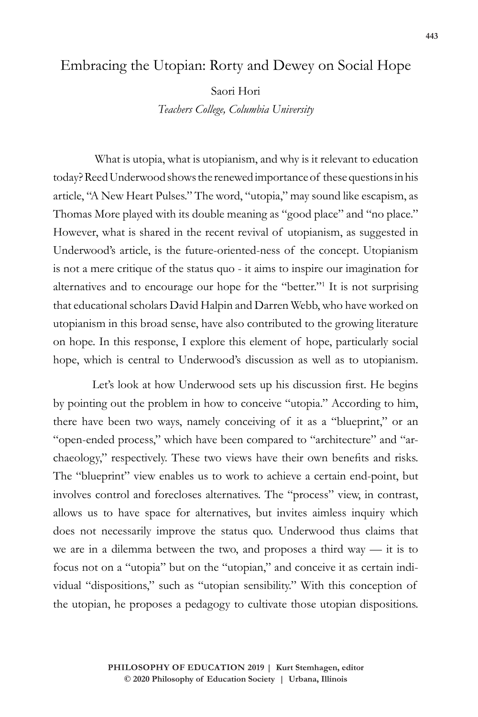## Embracing the Utopian: Rorty and Dewey on Social Hope

Saori Hori

*Teachers College, Columbia University*

 What is utopia, what is utopianism, and why is it relevant to education today? Reed Underwood shows the renewed importance of these questions in his article, "A New Heart Pulses." The word, "utopia," may sound like escapism, as Thomas More played with its double meaning as "good place" and "no place." However, what is shared in the recent revival of utopianism, as suggested in Underwood's article, is the future-oriented-ness of the concept. Utopianism is not a mere critique of the status quo - it aims to inspire our imagination for alternatives and to encourage our hope for the "better."1 It is not surprising that educational scholars David Halpin and Darren Webb, who have worked on utopianism in this broad sense, have also contributed to the growing literature on hope. In this response, I explore this element of hope, particularly social hope, which is central to Underwood's discussion as well as to utopianism.

Let's look at how Underwood sets up his discussion first. He begins by pointing out the problem in how to conceive "utopia." According to him, there have been two ways, namely conceiving of it as a "blueprint," or an "open-ended process," which have been compared to "architecture" and "archaeology," respectively. These two views have their own benefits and risks. The "blueprint" view enables us to work to achieve a certain end-point, but involves control and forecloses alternatives. The "process" view, in contrast, allows us to have space for alternatives, but invites aimless inquiry which does not necessarily improve the status quo. Underwood thus claims that we are in a dilemma between the two, and proposes a third way — it is to focus not on a "utopia" but on the "utopian," and conceive it as certain individual "dispositions," such as "utopian sensibility." With this conception of the utopian, he proposes a pedagogy to cultivate those utopian dispositions.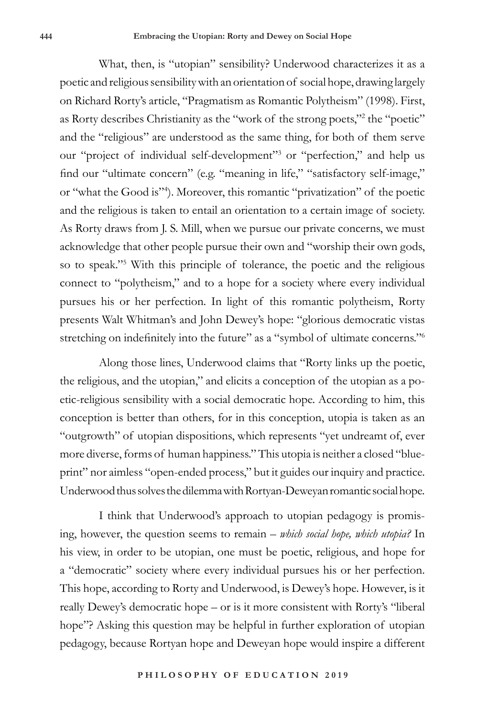What, then, is "utopian" sensibility? Underwood characterizes it as a poetic and religious sensibility with an orientation of social hope, drawing largely on Richard Rorty's article, "Pragmatism as Romantic Polytheism" (1998). First, as Rorty describes Christianity as the "work of the strong poets,"<sup>2</sup> the "poetic" and the "religious" are understood as the same thing, for both of them serve our "project of individual self-development"3 or "perfection," and help us find our "ultimate concern" (e.g. "meaning in life," "satisfactory self-image," or "what the Good is"4 ). Moreover, this romantic "privatization" of the poetic and the religious is taken to entail an orientation to a certain image of society. As Rorty draws from J. S. Mill, when we pursue our private concerns, we must acknowledge that other people pursue their own and "worship their own gods, so to speak."5 With this principle of tolerance, the poetic and the religious connect to "polytheism," and to a hope for a society where every individual pursues his or her perfection. In light of this romantic polytheism, Rorty presents Walt Whitman's and John Dewey's hope: "glorious democratic vistas stretching on indefinitely into the future" as a "symbol of ultimate concerns."<sup>6</sup>

Along those lines, Underwood claims that "Rorty links up the poetic, the religious, and the utopian," and elicits a conception of the utopian as a poetic-religious sensibility with a social democratic hope. According to him, this conception is better than others, for in this conception, utopia is taken as an "outgrowth" of utopian dispositions, which represents "yet undreamt of, ever more diverse, forms of human happiness." This utopia is neither a closed "blueprint" nor aimless "open-ended process," but it guides our inquiry and practice. Underwood thus solves the dilemma with Rortyan-Deweyan romantic social hope.

I think that Underwood's approach to utopian pedagogy is promising, however, the question seems to remain – *which social hope, which utopia?* In his view, in order to be utopian, one must be poetic, religious, and hope for a "democratic" society where every individual pursues his or her perfection. This hope, according to Rorty and Underwood, is Dewey's hope. However, is it really Dewey's democratic hope – or is it more consistent with Rorty's "liberal hope"? Asking this question may be helpful in further exploration of utopian pedagogy, because Rortyan hope and Deweyan hope would inspire a different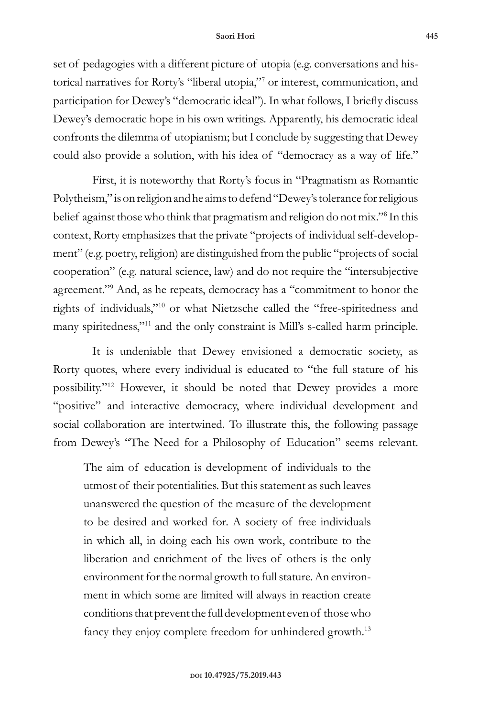## **Saori Hori 445**

set of pedagogies with a different picture of utopia (e.g. conversations and historical narratives for Rorty's "liberal utopia,"7 or interest, communication, and participation for Dewey's "democratic ideal"). In what follows, I briefly discuss Dewey's democratic hope in his own writings. Apparently, his democratic ideal confronts the dilemma of utopianism; but I conclude by suggesting that Dewey could also provide a solution, with his idea of "democracy as a way of life."

First, it is noteworthy that Rorty's focus in "Pragmatism as Romantic Polytheism," is on religion and he aims to defend "Dewey's tolerance for religious belief against those who think that pragmatism and religion do not mix."8 In this context, Rorty emphasizes that the private "projects of individual self-development" (e.g. poetry, religion) are distinguished from the public "projects of social cooperation" (e.g. natural science, law) and do not require the "intersubjective agreement."9 And, as he repeats, democracy has a "commitment to honor the rights of individuals,"10 or what Nietzsche called the "free-spiritedness and many spiritedness,"11 and the only constraint is Mill's s-called harm principle.

It is undeniable that Dewey envisioned a democratic society, as Rorty quotes, where every individual is educated to "the full stature of his possibility."12 However, it should be noted that Dewey provides a more "positive" and interactive democracy, where individual development and social collaboration are intertwined. To illustrate this, the following passage from Dewey's "The Need for a Philosophy of Education" seems relevant.

The aim of education is development of individuals to the utmost of their potentialities. But this statement as such leaves unanswered the question of the measure of the development to be desired and worked for. A society of free individuals in which all, in doing each his own work, contribute to the liberation and enrichment of the lives of others is the only environment for the normal growth to full stature. An environment in which some are limited will always in reaction create conditions that prevent the full development even of those who fancy they enjoy complete freedom for unhindered growth.<sup>13</sup>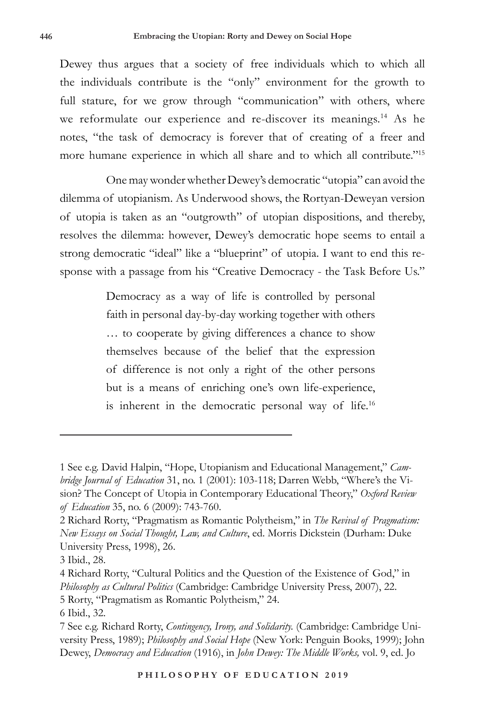Dewey thus argues that a society of free individuals which to which all the individuals contribute is the "only" environment for the growth to full stature, for we grow through "communication" with others, where we reformulate our experience and re-discover its meanings.<sup>14</sup> As he notes, "the task of democracy is forever that of creating of a freer and more humane experience in which all share and to which all contribute."<sup>15</sup>

One may wonder whether Dewey's democratic "utopia" can avoid the dilemma of utopianism. As Underwood shows, the Rortyan-Deweyan version of utopia is taken as an "outgrowth" of utopian dispositions, and thereby, resolves the dilemma: however, Dewey's democratic hope seems to entail a strong democratic "ideal" like a "blueprint" of utopia. I want to end this response with a passage from his "Creative Democracy - the Task Before Us."

> Democracy as a way of life is controlled by personal faith in personal day-by-day working together with others … to cooperate by giving differences a chance to show themselves because of the belief that the expression of difference is not only a right of the other persons but is a means of enriching one's own life-experience, is inherent in the democratic personal way of life.<sup>16</sup>

<sup>1</sup> See e.g. David Halpin, "Hope, Utopianism and Educational Management," *Cambridge Journal of Education* 31, no. 1 (2001): 103-118; Darren Webb, "Where's the Vision? The Concept of Utopia in Contemporary Educational Theory," *Oxford Review of Education* 35, no. 6 (2009): 743-760.

<sup>2</sup> Richard Rorty, "Pragmatism as Romantic Polytheism," in *The Revival of Pragmatism: New Essays on Social Thought, Law, and Culture*, ed. Morris Dickstein (Durham: Duke University Press, 1998), 26.

<sup>3</sup> Ibid., 28.

<sup>4</sup> Richard Rorty, "Cultural Politics and the Question of the Existence of God," in *Philosophy as Cultural Politics* (Cambridge: Cambridge University Press, 2007), 22. 5 Rorty, "Pragmatism as Romantic Polytheism," 24.

<sup>6</sup> Ibid., 32.

<sup>7</sup> See e.g. Richard Rorty, *Contingency, Irony, and Solidarity.* (Cambridge: Cambridge University Press, 1989); *Philosophy and Social Hope* (New York: Penguin Books, 1999); John Dewey, *Democracy and Education* (1916), in *John Dewey: The Middle Works,* vol. 9, ed. Jo